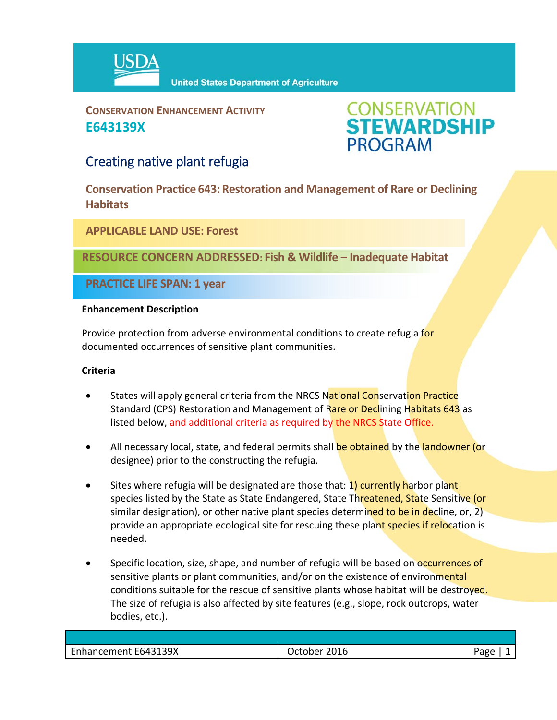

**United States Department of Agriculture** 

**CONSERVATION ENHANCEMENT ACTIVITY E643139X**



## Creating native plant refugia

**Conservation Practice 643: Restoration and Management of Rare or Declining Habitats**

**APPLICABLE LAND USE: Forest**

**RESOURCE CONCERN ADDRESSED: Fish & Wildlife – Inadequate Habitat**

**PRACTICE LIFE SPAN: 1 year**

### **Enhancement Description**

Provide protection from adverse environmental conditions to create refugia for documented occurrences of sensitive plant communities.

### **Criteria**

- States will apply general criteria from the NRCS National Conservation Practice Standard (CPS) Restoration and Management of Rare or Declining Habitats 643 as listed below, and additional criteria as required by the NRCS State Office.
- All necessary local, state, and federal permits shall be obtained by the landowner (or designee) prior to the constructing the refugia.
- Sites where refugia will be designated are those that: 1) currently harbor plant species listed by the State as State Endangered, State Threatened, State Sensitive (or similar designation), or other native plant species determined to be in decline, or, 2) provide an appropriate ecological site for rescuing these plant species if relocation is needed.
- Specific location, size, shape, and number of refugia will be based on **occurrences of** sensitive plants or plant communities, and/or on the existence of environmental conditions suitable for the rescue of sensitive plants whose habitat will be destroyed. The size of refugia is also affected by site features (e.g., slope, rock outcrops, water bodies, etc.).

| Enhancement E643139X | October 2016 | Page |
|----------------------|--------------|------|
|                      |              |      |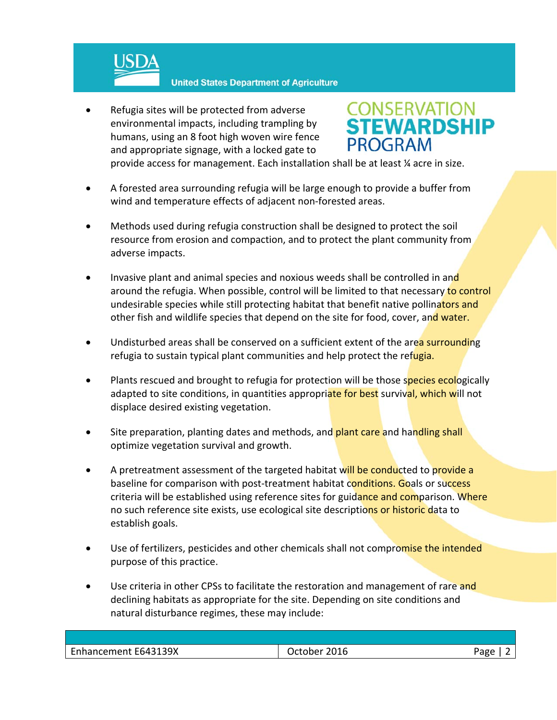

**United States Department of Agriculture** 

 Refugia sites will be protected from adverse environmental impacts, including trampling by humans, using an 8 foot high woven wire fence and appropriate signage, with a locked gate to



provide access for management. Each installation shall be at least ¼ acre in size.

- A forested area surrounding refugia will be large enough to provide a buffer from wind and temperature effects of adjacent non-forested areas.
- Methods used during refugia construction shall be designed to protect the soil resource from erosion and compaction, and to protect the plant community from adverse impacts.
- Invasive plant and animal species and noxious weeds shall be controlled in and around the refugia. When possible, control will be limited to that necessary to control undesirable species while still protecting habitat that benefit native pollinators and other fish and wildlife species that depend on the site for food, cover, and water.
- Undisturbed areas shall be conserved on a sufficient extent of the area surrounding refugia to sustain typical plant communities and help protect the refugia.
- Plants rescued and brought to refugia for protection will be those species ecologically adapted to site conditions, in quantities appropriate for best survival, which will not displace desired existing vegetation.
- Site preparation, planting dates and methods, and **plant care and handling shall** optimize vegetation survival and growth.
- A pretreatment assessment of the targeted habitat will be conducted to provide a baseline for comparison with post-treatment habitat conditions. Goals or success criteria will be established using reference sites for guidance and comparison. Where no such reference site exists, use ecological site descriptions or historic data to establish goals.
- Use of fertilizers, pesticides and other chemicals shall not compromise the intended purpose of this practice.
- Use criteria in other CPSs to facilitate the restoration and management of rare and declining habitats as appropriate for the site. Depending on site conditions and natural disturbance regimes, these may include:

| ancement E643139X<br>Enhan- | 016<br>.ner<br>___ | חסר' |
|-----------------------------|--------------------|------|
|                             |                    |      |